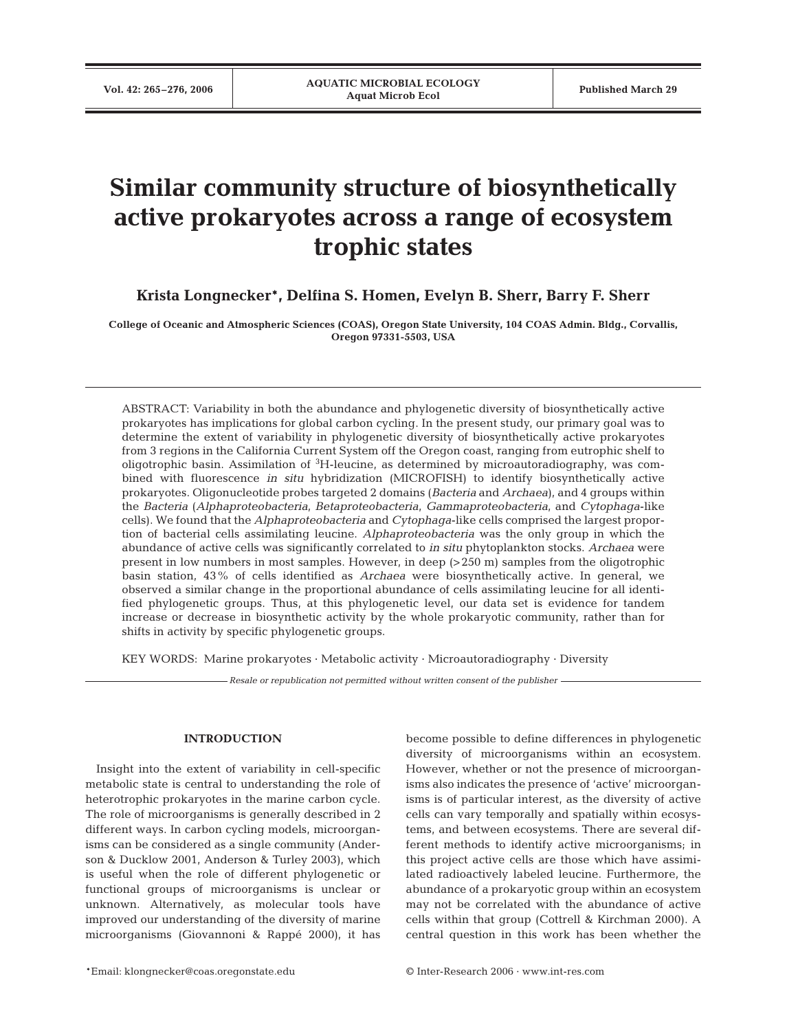# **Similar community structure of biosynthetically active prokaryotes across a range of ecosystem trophic states**

**Krista Longnecker\*, Delfina S. Homen, Evelyn B. Sherr, Barry F. Sherr**

**College of Oceanic and Atmospheric Sciences (COAS), Oregon State University, 104 COAS Admin. Bldg., Corvallis, Oregon 97331-5503, USA**

ABSTRACT: Variability in both the abundance and phylogenetic diversity of biosynthetically active prokaryotes has implications for global carbon cycling. In the present study, our primary goal was to determine the extent of variability in phylogenetic diversity of biosynthetically active prokaryotes from 3 regions in the California Current System off the Oregon coast, ranging from eutrophic shelf to oligotrophic basin. Assimilation of <sup>3</sup>H-leucine, as determined by microautoradiography, was combined with fluorescence *in situ* hybridization (MICROFISH) to identify biosynthetically active prokaryotes. Oligonucleotide probes targeted 2 domains (*Bacteria* and *Archaea*), and 4 groups within the *Bacteria* (*Alphaproteobacteria*, *Betaproteobacteria*, *Gammaproteobacteria*, and *Cytophaga*-like cells). We found that the *Alphaproteobacteria* and *Cytophaga*-like cells comprised the largest proportion of bacterial cells assimilating leucine. *Alphaproteobacteria* was the only group in which the abundance of active cells was significantly correlated to *in situ* phytoplankton stocks. *Archaea* were present in low numbers in most samples. However, in deep (>250 m) samples from the oligotrophic basin station, 43% of cells identified as *Archaea* were biosynthetically active. In general, we observed a similar change in the proportional abundance of cells assimilating leucine for all identified phylogenetic groups. Thus, at this phylogenetic level, our data set is evidence for tandem increase or decrease in biosynthetic activity by the whole prokaryotic community, rather than for shifts in activity by specific phylogenetic groups.

KEY WORDS: Marine prokaryotes · Metabolic activity · Microautoradiography · Diversity

*Resale or republication not permitted without written consent of the publisher*

## **INTRODUCTION**

Insight into the extent of variability in cell-specific metabolic state is central to understanding the role of heterotrophic prokaryotes in the marine carbon cycle. The role of microorganisms is generally described in 2 different ways. In carbon cycling models, microorganisms can be considered as a single community (Anderson & Ducklow 2001, Anderson & Turley 2003), which is useful when the role of different phylogenetic or functional groups of microorganisms is unclear or unknown. Alternatively, as molecular tools have improved our understanding of the diversity of marine microorganisms (Giovannoni & Rappé 2000), it has

become possible to define differences in phylogenetic diversity of microorganisms within an ecosystem. However, whether or not the presence of microorganisms also indicates the presence of 'active' microorganisms is of particular interest, as the diversity of active cells can vary temporally and spatially within ecosystems, and between ecosystems. There are several different methods to identify active microorganisms; in this project active cells are those which have assimilated radioactively labeled leucine. Furthermore, the abundance of a prokaryotic group within an ecosystem may not be correlated with the abundance of active cells within that group (Cottrell & Kirchman 2000). A central question in this work has been whether the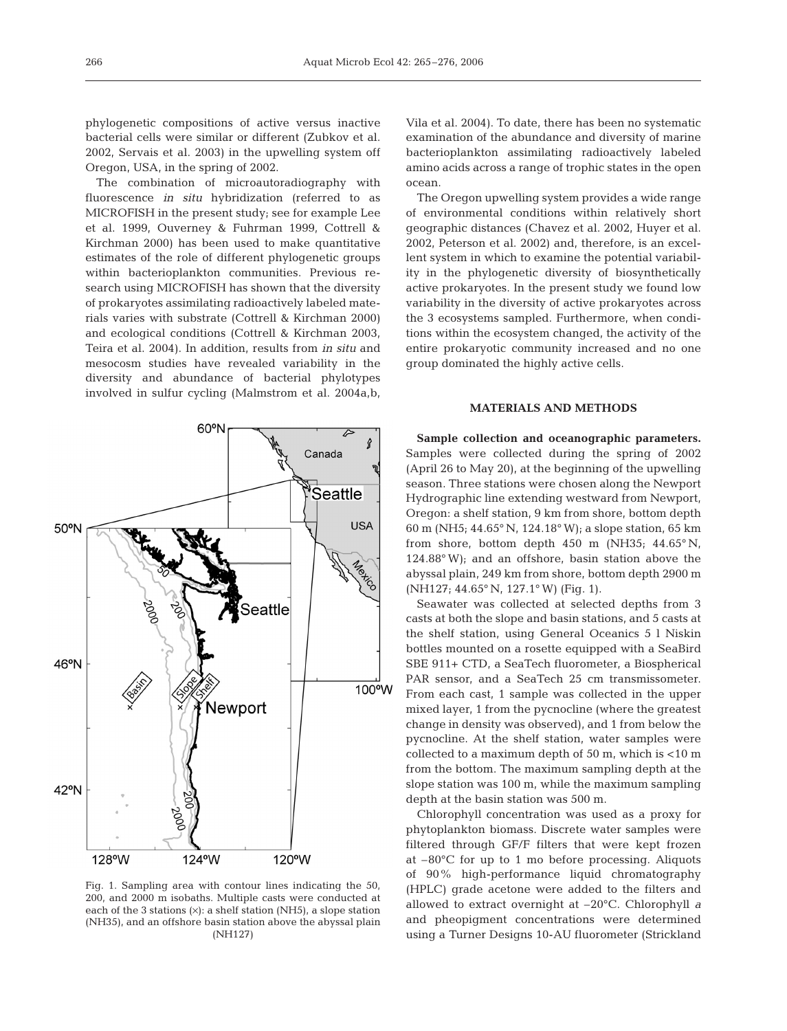phylogenetic compositions of active versus inactive bacterial cells were similar or different (Zubkov et al. 2002, Servais et al. 2003) in the upwelling system off Oregon, USA, in the spring of 2002.

The combination of microautoradiography with fluorescence *in situ* hybridization (referred to as MICROFISH in the present study; see for example Lee et al. 1999, Ouverney & Fuhrman 1999, Cottrell & Kirchman 2000) has been used to make quantitative estimates of the role of different phylogenetic groups within bacterioplankton communities. Previous research using MICROFISH has shown that the diversity of prokaryotes assimilating radioactively labeled materials varies with substrate (Cottrell & Kirchman 2000) and ecological conditions (Cottrell & Kirchman 2003, Teira et al. 2004). In addition, results from *in situ* and mesocosm studies have revealed variability in the diversity and abundance of bacterial phylotypes involved in sulfur cycling (Malmstrom et al. 2004a,b,

60°N  $\overline{\mathcal{L}}$ ŝ Canada 'Seattle **USA** 50°N **Seattle** 46°N 100°W Newport 42°N 128°W 124°W 120°W

Fig. 1. Sampling area with contour lines indicating the 50, 200, and 2000 m isobaths. Multiple casts were conducted at each of the 3 stations  $(x)$ : a shelf station (NH5), a slope station (NH35), and an offshore basin station above the abyssal plain (NH127)

Vila et al. 2004). To date, there has been no systematic examination of the abundance and diversity of marine bacterioplankton assimilating radioactively labeled amino acids across a range of trophic states in the open ocean.

The Oregon upwelling system provides a wide range of environmental conditions within relatively short geographic distances (Chavez et al. 2002, Huyer et al. 2002, Peterson et al. 2002) and, therefore, is an excellent system in which to examine the potential variability in the phylogenetic diversity of biosynthetically active prokaryotes. In the present study we found low variability in the diversity of active prokaryotes across the 3 ecosystems sampled. Furthermore, when conditions within the ecosystem changed, the activity of the entire prokaryotic community increased and no one group dominated the highly active cells.

# **MATERIALS AND METHODS**

**Sample collection and oceanographic parameters.** Samples were collected during the spring of 2002 (April 26 to May 20), at the beginning of the upwelling season. Three stations were chosen along the Newport Hydrographic line extending westward from Newport, Oregon: a shelf station, 9 km from shore, bottom depth 60 m (NH5; 44.65° N, 124.18° W); a slope station, 65 km from shore, bottom depth  $450$  m (NH35;  $44.65^{\circ}$  N, 124.88° W); and an offshore, basin station above the abyssal plain, 249 km from shore, bottom depth 2900 m (NH127; 44.65° N, 127.1° W) (Fig. 1).

Seawater was collected at selected depths from 3 casts at both the slope and basin stations, and 5 casts at the shelf station, using General Oceanics 5 l Niskin bottles mounted on a rosette equipped with a SeaBird SBE 911+ CTD, a SeaTech fluorometer, a Biospherical PAR sensor, and a SeaTech 25 cm transmissometer. From each cast, 1 sample was collected in the upper mixed layer, 1 from the pycnocline (where the greatest change in density was observed), and 1 from below the pycnocline. At the shelf station, water samples were collected to a maximum depth of 50 m, which is <10 m from the bottom. The maximum sampling depth at the slope station was 100 m, while the maximum sampling depth at the basin station was 500 m.

Chlorophyll concentration was used as a proxy for phytoplankton biomass. Discrete water samples were filtered through GF/F filters that were kept frozen at –80°C for up to 1 mo before processing. Aliquots of 90% high-performance liquid chromatography (HPLC) grade acetone were added to the filters and allowed to extract overnight at –20°C. Chlorophyll *a* and pheopigment concentrations were determined using a Turner Designs 10-AU fluorometer (Strickland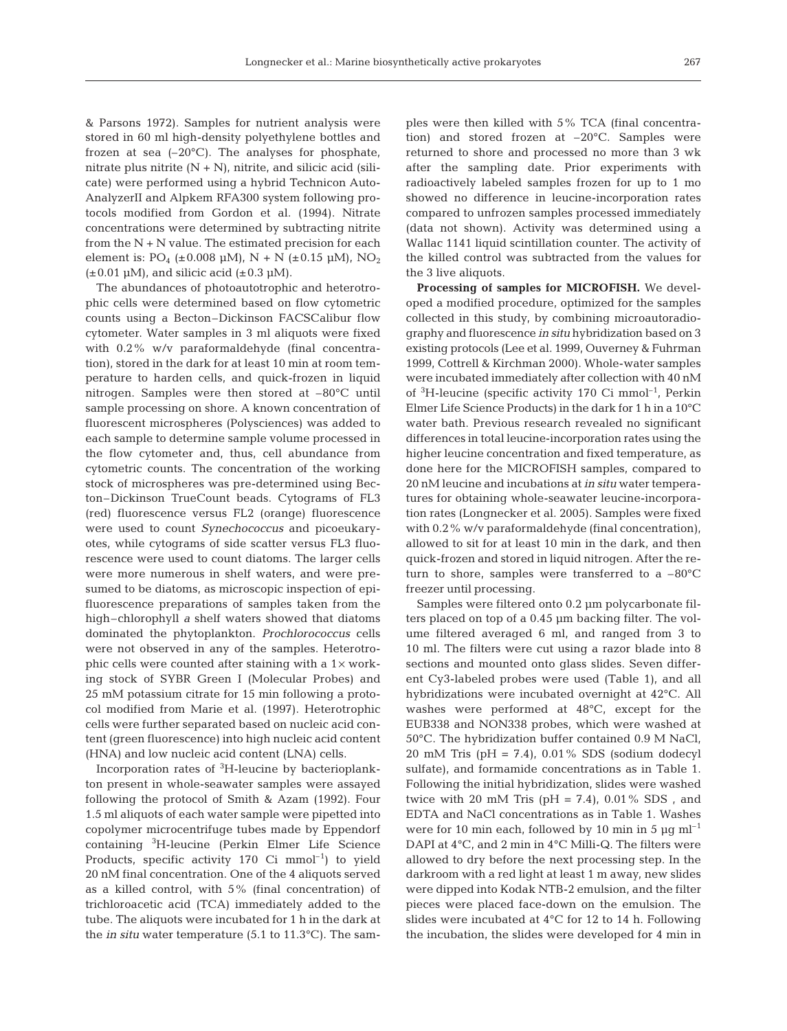& Parsons 1972). Samples for nutrient analysis were stored in 60 ml high-density polyethylene bottles and frozen at sea  $(-20^{\circ}C)$ . The analyses for phosphate, nitrate plus nitrite  $(N + N)$ , nitrite, and silicic acid (silicate) were performed using a hybrid Technicon Auto-AnalyzerII and Alpkem RFA300 system following protocols modified from Gordon et al. (1994). Nitrate concentrations were determined by subtracting nitrite from the  $N + N$  value. The estimated precision for each element is:  $PO_4$  (±0.008 µM), N + N (±0.15 µM), NO<sub>2</sub>  $(\pm 0.01 \,\mu M)$ , and silicic acid  $(\pm 0.3 \,\mu M)$ .

The abundances of photoautotrophic and heterotrophic cells were determined based on flow cytometric counts using a Becton–Dickinson FACSCalibur flow cytometer. Water samples in 3 ml aliquots were fixed with 0.2% w/v paraformaldehyde (final concentration), stored in the dark for at least 10 min at room temperature to harden cells, and quick-frozen in liquid nitrogen. Samples were then stored at –80°C until sample processing on shore. A known concentration of fluorescent microspheres (Polysciences) was added to each sample to determine sample volume processed in the flow cytometer and, thus, cell abundance from cytometric counts. The concentration of the working stock of microspheres was pre-determined using Becton–Dickinson TrueCount beads. Cytograms of FL3 (red) fluorescence versus FL2 (orange) fluorescence were used to count *Synechococcus* and picoeukaryotes, while cytograms of side scatter versus FL3 fluorescence were used to count diatoms. The larger cells were more numerous in shelf waters, and were presumed to be diatoms, as microscopic inspection of epifluorescence preparations of samples taken from the high–chlorophyll *a* shelf waters showed that diatoms dominated the phytoplankton. *Prochlorococcus* cells were not observed in any of the samples. Heterotrophic cells were counted after staining with a  $1\times$  working stock of SYBR Green I (Molecular Probes) and 25 mM potassium citrate for 15 min following a protocol modified from Marie et al. (1997). Heterotrophic cells were further separated based on nucleic acid content (green fluorescence) into high nucleic acid content (HNA) and low nucleic acid content (LNA) cells.

Incorporation rates of <sup>3</sup> H-leucine by bacterioplankton present in whole-seawater samples were assayed following the protocol of Smith & Azam (1992). Four 1.5 ml aliquots of each water sample were pipetted into copolymer microcentrifuge tubes made by Eppendorf containing <sup>3</sup> H-leucine (Perkin Elmer Life Science Products, specific activity 170 Ci  $mmol^{-1}$ ) to yield 20 nM final concentration. One of the 4 aliquots served as a killed control, with 5% (final concentration) of trichloroacetic acid (TCA) immediately added to the tube. The aliquots were incubated for 1 h in the dark at the *in situ* water temperature (5.1 to 11.3°C). The samples were then killed with 5% TCA (final concentration) and stored frozen at –20°C. Samples were returned to shore and processed no more than 3 wk after the sampling date. Prior experiments with radioactively labeled samples frozen for up to 1 mo showed no difference in leucine-incorporation rates compared to unfrozen samples processed immediately (data not shown). Activity was determined using a Wallac 1141 liquid scintillation counter. The activity of the killed control was subtracted from the values for the 3 live aliquots.

**Processing of samples for MICROFISH.** We developed a modified procedure, optimized for the samples collected in this study, by combining microautoradiography and fluorescence *in situ* hybridization based on 3 existing protocols (Lee et al. 1999, Ouverney & Fuhrman 1999, Cottrell & Kirchman 2000). Whole-water samples were incubated immediately after collection with 40 nM of <sup>3</sup>H-leucine (specific activity 170 Ci mmol<sup>-1</sup>, Perkin Elmer Life Science Products) in the dark for 1 h in a 10°C water bath. Previous research revealed no significant differences in total leucine-incorporation rates using the higher leucine concentration and fixed temperature, as done here for the MICROFISH samples, compared to 20 nM leucine and incubations at *in situ* water temperatures for obtaining whole-seawater leucine-incorporation rates (Longnecker et al. 2005). Samples were fixed with 0.2% w/v paraformaldehyde (final concentration), allowed to sit for at least 10 min in the dark, and then quick-frozen and stored in liquid nitrogen. After the return to shore, samples were transferred to a  $-80^{\circ}$ C freezer until processing.

Samples were filtered onto 0.2 µm polycarbonate filters placed on top of a 0.45 µm backing filter. The volume filtered averaged 6 ml, and ranged from 3 to 10 ml. The filters were cut using a razor blade into 8 sections and mounted onto glass slides. Seven different Cy3-labeled probes were used (Table 1), and all hybridizations were incubated overnight at 42°C. All washes were performed at 48°C, except for the EUB338 and NON338 probes, which were washed at 50°C. The hybridization buffer contained 0.9 M NaCl, 20 mM Tris ( $pH = 7.4$ ), 0.01% SDS (sodium dodecyl sulfate), and formamide concentrations as in Table 1. Following the initial hybridization, slides were washed twice with 20 mM Tris (pH =  $7.4$ ), 0.01% SDS, and EDTA and NaCl concentrations as in Table 1. Washes were for 10 min each, followed by 10 min in 5  $\mu$ g ml<sup>-1</sup> DAPI at 4°C, and 2 min in 4°C Milli-Q. The filters were allowed to dry before the next processing step. In the darkroom with a red light at least 1 m away, new slides were dipped into Kodak NTB-2 emulsion, and the filter pieces were placed face-down on the emulsion. The slides were incubated at 4°C for 12 to 14 h. Following the incubation, the slides were developed for 4 min in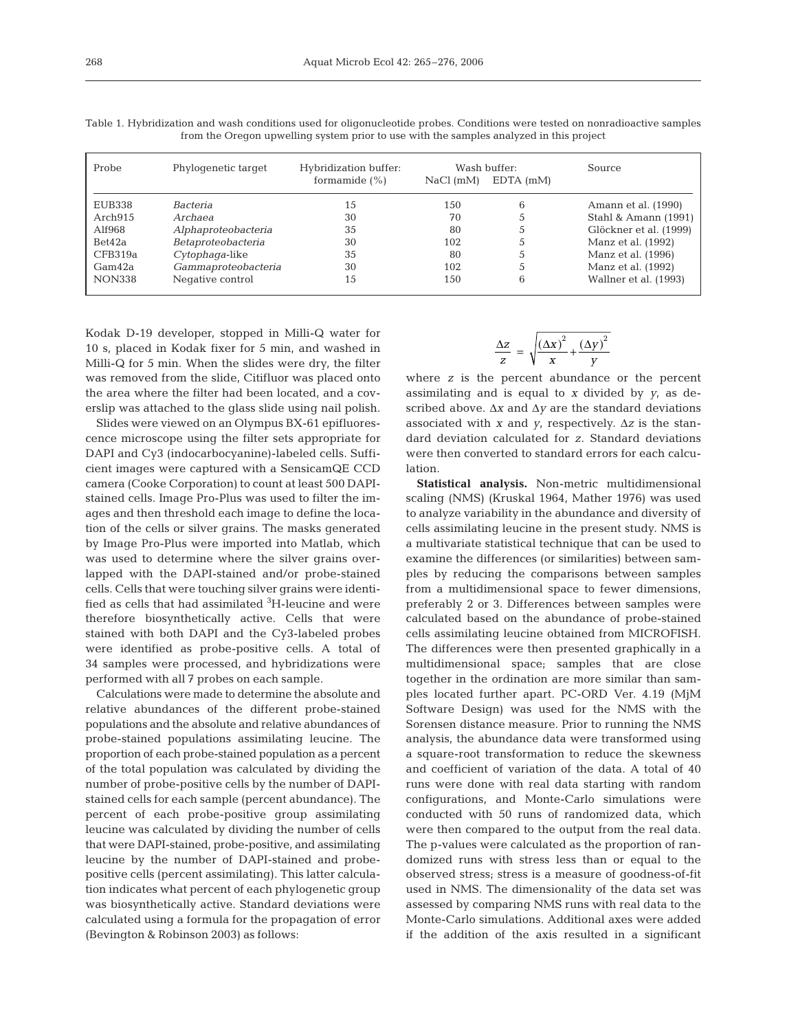| Probe         | Phylogenetic target | Hybridization buffer:<br>formamide $(\% )$ | NaCl(mM) | Wash buffer:<br>$EDTA$ (mM) | Source                 |
|---------------|---------------------|--------------------------------------------|----------|-----------------------------|------------------------|
| EUB338        | Bacteria            | 15                                         | 150      | 6                           | Amann et al. (1990)    |
| Arch915       | Archaea             | 30                                         | 70       |                             | Stahl & Amann (1991)   |
| Alf968        | Alphaproteobacteria | 35                                         | 80       |                             | Glöckner et al. (1999) |
| Bet42a        | Betaproteobacteria  | 30                                         | 102      | C.                          | Manz et al. (1992)     |
| CFB319a       | Cytophaga-like      | 35                                         | 80       |                             | Manz et al. (1996)     |
| Gam42a        | Gammaproteobacteria | 30                                         | 102      |                             | Manz et al. (1992)     |
| <b>NON338</b> | Negative control    | 15                                         | 150      | 6                           | Wallner et al. (1993)  |

Table 1. Hybridization and wash conditions used for oligonucleotide probes. Conditions were tested on nonradioactive samples from the Oregon upwelling system prior to use with the samples analyzed in this project

Kodak D-19 developer, stopped in Milli-Q water for 10 s, placed in Kodak fixer for 5 min, and washed in Milli-Q for 5 min. When the slides were dry, the filter was removed from the slide, Citifluor was placed onto the area where the filter had been located, and a coverslip was attached to the glass slide using nail polish.

Slides were viewed on an Olympus BX-61 epifluorescence microscope using the filter sets appropriate for DAPI and Cy3 (indocarbocyanine)-labeled cells. Sufficient images were captured with a SensicamQE CCD camera (Cooke Corporation) to count at least 500 DAPIstained cells. Image Pro-Plus was used to filter the images and then threshold each image to define the location of the cells or silver grains. The masks generated by Image Pro-Plus were imported into Matlab, which was used to determine where the silver grains overlapped with the DAPI-stained and/or probe-stained cells. Cells that were touching silver grains were identified as cells that had assimilated <sup>3</sup>H-leucine and were therefore biosynthetically active. Cells that were stained with both DAPI and the Cy3-labeled probes were identified as probe-positive cells. A total of 34 samples were processed, and hybridizations were performed with all 7 probes on each sample.

Calculations were made to determine the absolute and relative abundances of the different probe-stained populations and the absolute and relative abundances of probe-stained populations assimilating leucine. The proportion of each probe-stained population as a percent of the total population was calculated by dividing the number of probe-positive cells by the number of DAPIstained cells for each sample (percent abundance). The percent of each probe-positive group assimilating leucine was calculated by dividing the number of cells that were DAPI-stained, probe-positive, and assimilating leucine by the number of DAPI-stained and probepositive cells (percent assimilating). This latter calculation indicates what percent of each phylogenetic group was biosynthetically active. Standard deviations were calculated using a formula for the propagation of error (Bevington & Robinson 2003) as follows:

$$
\frac{\Delta z}{z} = \sqrt{\frac{(\Delta x)^2}{x} + \frac{(\Delta y)^2}{y}}
$$

where *z* is the percent abundance or the percent assimilating and is equal to *x* divided by *y*, as described above. Δ*x* and Δ*y* are the standard deviations associated with *x* and *y*, respectively. Δ*z* is the standard deviation calculated for *z*. Standard deviations were then converted to standard errors for each calculation.

**Statistical analysis.** Non-metric multidimensional scaling (NMS) (Kruskal 1964, Mather 1976) was used to analyze variability in the abundance and diversity of cells assimilating leucine in the present study. NMS is a multivariate statistical technique that can be used to examine the differences (or similarities) between samples by reducing the comparisons between samples from a multidimensional space to fewer dimensions, preferably 2 or 3. Differences between samples were calculated based on the abundance of probe-stained cells assimilating leucine obtained from MICROFISH. The differences were then presented graphically in a multidimensional space; samples that are close together in the ordination are more similar than samples located further apart. PC-ORD Ver. 4.19 (MjM Software Design) was used for the NMS with the Sorensen distance measure. Prior to running the NMS analysis, the abundance data were transformed using a square-root transformation to reduce the skewness and coefficient of variation of the data. A total of 40 runs were done with real data starting with random configurations, and Monte-Carlo simulations were conducted with 50 runs of randomized data, which were then compared to the output from the real data. The p-values were calculated as the proportion of randomized runs with stress less than or equal to the observed stress; stress is a measure of goodness-of-fit used in NMS. The dimensionality of the data set was assessed by comparing NMS runs with real data to the Monte-Carlo simulations. Additional axes were added if the addition of the axis resulted in a significant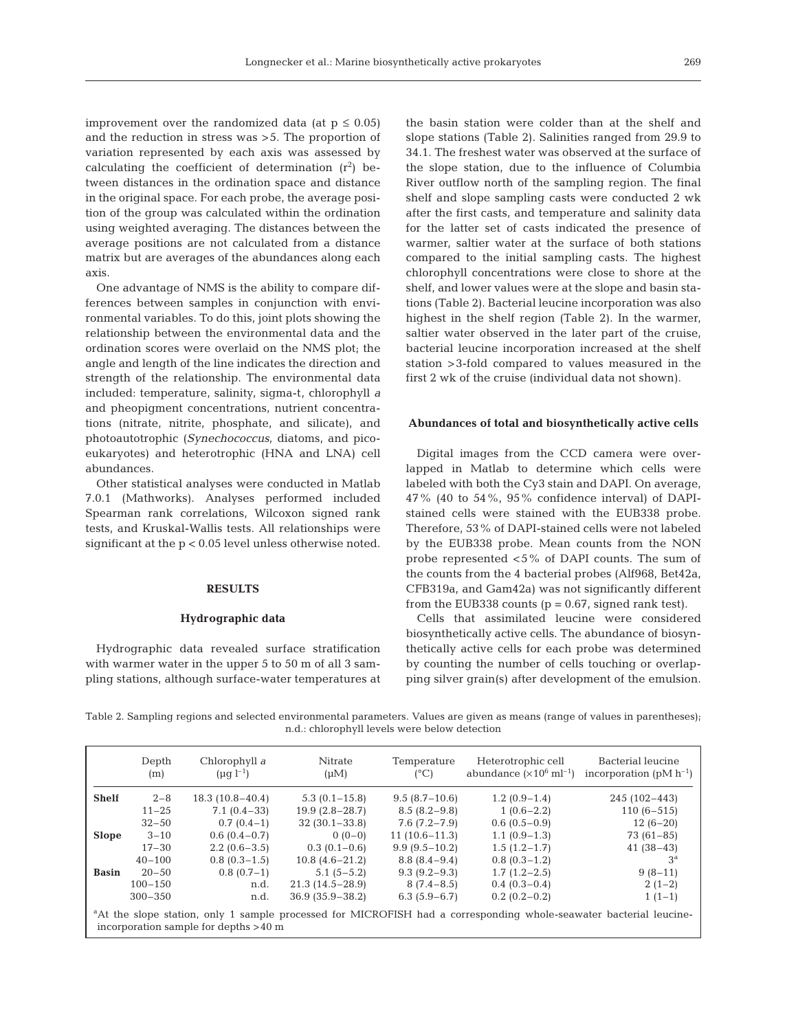improvement over the randomized data (at  $p \leq 0.05$ ) and the reduction in stress was >5. The proportion of variation represented by each axis was assessed by calculating the coefficient of determination  $(r^2)$  between distances in the ordination space and distance in the original space. For each probe, the average position of the group was calculated within the ordination using weighted averaging. The distances between the average positions are not calculated from a distance matrix but are averages of the abundances along each axis.

One advantage of NMS is the ability to compare differences between samples in conjunction with environmental variables. To do this, joint plots showing the relationship between the environmental data and the ordination scores were overlaid on the NMS plot; the angle and length of the line indicates the direction and strength of the relationship. The environmental data included: temperature, salinity, sigma-t, chlorophyll *a* and pheopigment concentrations, nutrient concentrations (nitrate, nitrite, phosphate, and silicate), and photoautotrophic (*Synechococcus*, diatoms, and picoeukaryotes) and heterotrophic (HNA and LNA) cell abundances.

Other statistical analyses were conducted in Matlab 7.0.1 (Mathworks). Analyses performed included Spearman rank correlations, Wilcoxon signed rank tests, and Kruskal-Wallis tests. All relationships were significant at the p < 0.05 level unless otherwise noted.

### **RESULTS**

#### **Hydrographic data**

Hydrographic data revealed surface stratification with warmer water in the upper 5 to 50 m of all 3 sampling stations, although surface-water temperatures at

incorporation sample for depths >40 m

the basin station were colder than at the shelf and slope stations (Table 2). Salinities ranged from 29.9 to 34.1. The freshest water was observed at the surface of the slope station, due to the influence of Columbia River outflow north of the sampling region. The final shelf and slope sampling casts were conducted 2 wk after the first casts, and temperature and salinity data for the latter set of casts indicated the presence of warmer, saltier water at the surface of both stations compared to the initial sampling casts. The highest chlorophyll concentrations were close to shore at the shelf, and lower values were at the slope and basin stations (Table 2). Bacterial leucine incorporation was also highest in the shelf region (Table 2). In the warmer, saltier water observed in the later part of the cruise, bacterial leucine incorporation increased at the shelf station >3-fold compared to values measured in the first 2 wk of the cruise (individual data not shown).

#### **Abundances of total and biosynthetically active cells**

Digital images from the CCD camera were overlapped in Matlab to determine which cells were labeled with both the Cy3 stain and DAPI. On average,  $47\%$  (40 to 54%, 95% confidence interval) of DAPIstained cells were stained with the EUB338 probe. Therefore, 53% of DAPI-stained cells were not labeled by the EUB338 probe. Mean counts from the NON probe represented <5% of DAPI counts. The sum of the counts from the 4 bacterial probes (Alf968, Bet42a, CFB319a, and Gam42a) was not significantly different from the EUB338 counts ( $p = 0.67$ , signed rank test).

Cells that assimilated leucine were considered biosynthetically active cells. The abundance of biosynthetically active cells for each probe was determined by counting the number of cells touching or overlapping silver grain(s) after development of the emulsion.

Table 2. Sampling regions and selected environmental parameters. Values are given as means (range of values in parentheses); n.d.: chlorophyll levels were below detection

|                                                                                                                                | Depth<br>(m) | Chlorophyll a<br>$(\mu q l^{-1})$ | Nitrate<br>$(\mu M)$ | Temperature<br>$(^{\circ}C)$ | Heterotrophic cell<br>abundance $(\times 10^6 \text{ ml}^{-1})$ | Bacterial leucine<br>incorporation (pM $h^{-1}$ ) |
|--------------------------------------------------------------------------------------------------------------------------------|--------------|-----------------------------------|----------------------|------------------------------|-----------------------------------------------------------------|---------------------------------------------------|
| <b>Shelf</b>                                                                                                                   | $2 - 8$      | $18.3(10.8-40.4)$                 | $5.3(0.1 - 15.8)$    | $9.5(8.7-10.6)$              | $1.2(0.9-1.4)$                                                  | $245(102 - 443)$                                  |
|                                                                                                                                | $11 - 25$    | $7.1(0.4-33)$                     | $19.9(2.8-28.7)$     | $8.5(8.2 - 9.8)$             | $1(0.6-2.2)$                                                    | $110(6-515)$                                      |
|                                                                                                                                | $32 - 50$    | $0.7(0.4-1)$                      | $32(30.1 - 33.8)$    | $7.6(7.2 - 7.9)$             | $0.6(0.5-0.9)$                                                  | $12(6-20)$                                        |
| <b>Slope</b>                                                                                                                   | $3 - 10$     | $0.6(0.4-0.7)$                    | $0(0-0)$             | $11(10.6-11.3)$              | $1.1(0.9-1.3)$                                                  | $73(61-85)$                                       |
|                                                                                                                                | $17 - 30$    | $2.2(0.6-3.5)$                    | $0.3(0.1-0.6)$       | $9.9(9.5-10.2)$              | $1.5(1.2-1.7)$                                                  | $41(38-43)$                                       |
|                                                                                                                                | $40 - 100$   | $0.8(0.3-1.5)$                    | $10.8(4.6-21.2)$     | $8.8(8.4-9.4)$               | $0.8(0.3-1.2)$                                                  | 3 <sup>a</sup>                                    |
| <b>Basin</b>                                                                                                                   | $20 - 50$    | $0.8(0.7-1)$                      | $5.1(5-5.2)$         | $9.3(9.2 - 9.3)$             | $1.7(1.2 - 2.5)$                                                | $9(8-11)$                                         |
|                                                                                                                                | $100 - 150$  | n.d.                              | $21.3(14.5-28.9)$    | $8(7.4-8.5)$                 | $0.4(0.3-0.4)$                                                  | $2(1-2)$                                          |
|                                                                                                                                | $300 - 350$  | n.d.                              | $36.9(35.9 - 38.2)$  | $6.3(5.9-6.7)$               | $0.2(0.2-0.2)$                                                  | $1(1-1)$                                          |
| <sup>a</sup> At the slope station, only 1 sample processed for MICROFISH had a corresponding whole-seawater bacterial leucine- |              |                                   |                      |                              |                                                                 |                                                   |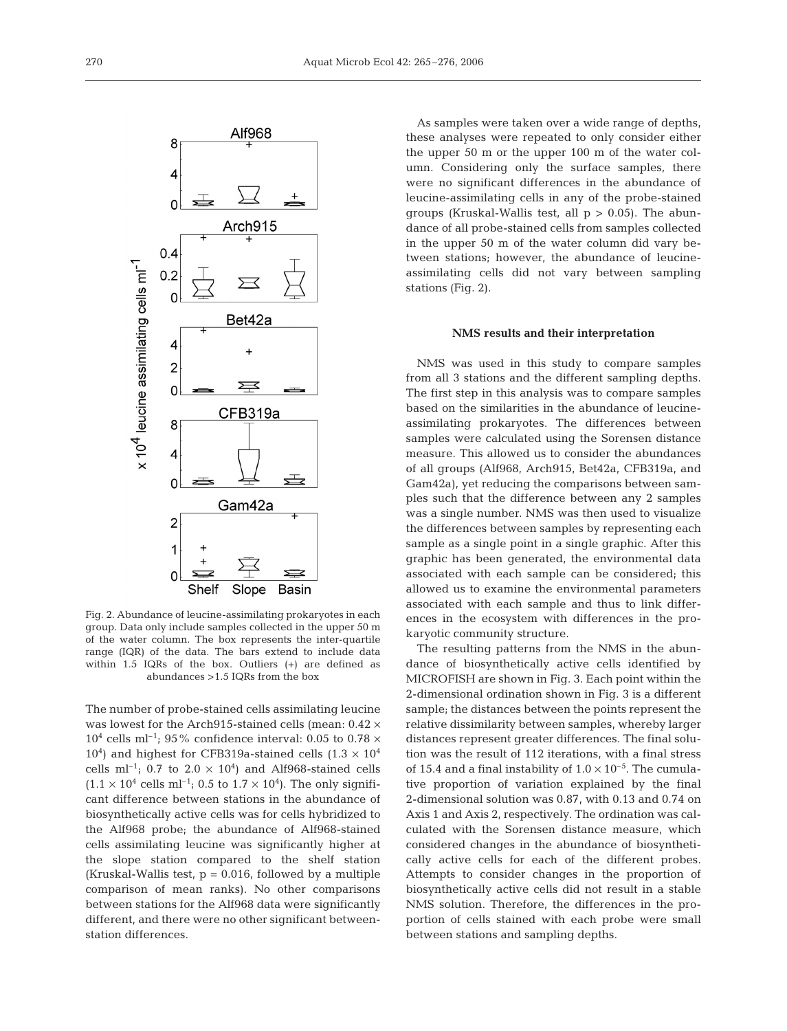

Fig. 2. Abundance of leucine-assimilating prokaryotes in each group. Data only include samples collected in the upper 50 m of the water column. The box represents the inter-quartile range (IQR) of the data. The bars extend to include data within 1.5 IQRs of the box. Outliers (+) are defined as abundances >1.5 IQRs from the box

The number of probe-stained cells assimilating leucine was lowest for the Arch915-stained cells (mean: 0.42 ×  $10^4$  cells ml<sup>-1</sup>; 95% confidence interval: 0.05 to 0.78  $\times$  $10<sup>4</sup>$ ) and highest for CFB319a-stained cells  $(1.3 \times 10<sup>4</sup>)$ cells ml<sup>-1</sup>; 0.7 to 2.0  $\times$  10<sup>4</sup>) and Alf968-stained cells  $(1.1 \times 10^{4} \text{ cells m}^{-1})$ ; 0.5 to 1.7 × 10<sup>4</sup>). The only significant difference between stations in the abundance of biosynthetically active cells was for cells hybridized to the Alf968 probe; the abundance of Alf968-stained cells assimilating leucine was significantly higher at the slope station compared to the shelf station (Kruskal-Wallis test,  $p = 0.016$ , followed by a multiple comparison of mean ranks). No other comparisons between stations for the Alf968 data were significantly different, and there were no other significant betweenstation differences.

As samples were taken over a wide range of depths, these analyses were repeated to only consider either the upper 50 m or the upper 100 m of the water column. Considering only the surface samples, there were no significant differences in the abundance of leucine-assimilating cells in any of the probe-stained groups (Kruskal-Wallis test, all  $p > 0.05$ ). The abundance of all probe-stained cells from samples collected in the upper 50 m of the water column did vary between stations; however, the abundance of leucineassimilating cells did not vary between sampling stations (Fig. 2).

#### **NMS results and their interpretation**

NMS was used in this study to compare samples from all 3 stations and the different sampling depths. The first step in this analysis was to compare samples based on the similarities in the abundance of leucineassimilating prokaryotes. The differences between samples were calculated using the Sorensen distance measure. This allowed us to consider the abundances of all groups (Alf968, Arch915, Bet42a, CFB319a, and Gam42a), yet reducing the comparisons between samples such that the difference between any 2 samples was a single number. NMS was then used to visualize the differences between samples by representing each sample as a single point in a single graphic. After this graphic has been generated, the environmental data associated with each sample can be considered; this allowed us to examine the environmental parameters associated with each sample and thus to link differences in the ecosystem with differences in the prokaryotic community structure.

The resulting patterns from the NMS in the abundance of biosynthetically active cells identified by MICROFISH are shown in Fig. 3. Each point within the 2-dimensional ordination shown in Fig. 3 is a different sample; the distances between the points represent the relative dissimilarity between samples, whereby larger distances represent greater differences. The final solution was the result of 112 iterations, with a final stress of 15.4 and a final instability of  $1.0 \times 10^{-5}$ . The cumulative proportion of variation explained by the final 2-dimensional solution was 0.87, with 0.13 and 0.74 on Axis 1 and Axis 2, respectively. The ordination was calculated with the Sorensen distance measure, which considered changes in the abundance of biosynthetically active cells for each of the different probes. Attempts to consider changes in the proportion of biosynthetically active cells did not result in a stable NMS solution. Therefore, the differences in the proportion of cells stained with each probe were small between stations and sampling depths.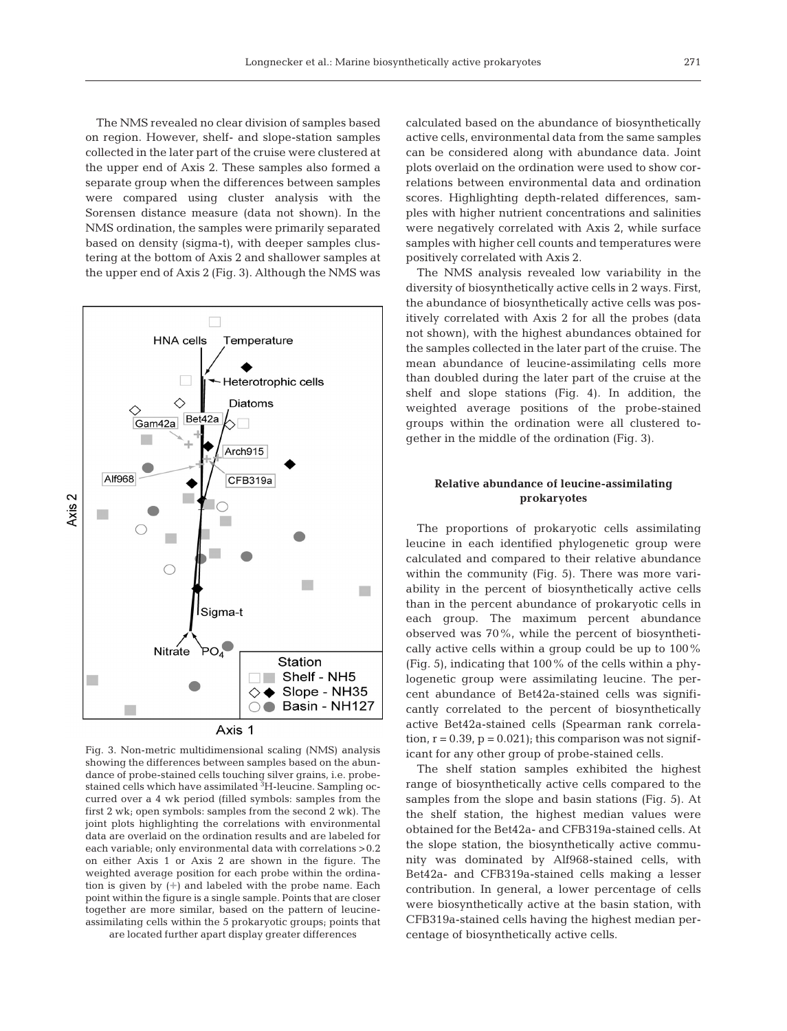The NMS revealed no clear division of samples based on region. However, shelf- and slope-station samples collected in the later part of the cruise were clustered at the upper end of Axis 2. These samples also formed a separate group when the differences between samples were compared using cluster analysis with the Sorensen distance measure (data not shown). In the NMS ordination, the samples were primarily separated based on density (sigma-t), with deeper samples clustering at the bottom of Axis 2 and shallower samples at the upper end of Axis 2 (Fig. 3). Although the NMS was



Fig. 3. Non-metric multidimensional scaling (NMS) analysis showing the differences between samples based on the abundance of probe-stained cells touching silver grains, i.e. probestained cells which have assimilated <sup>3</sup>H-leucine. Sampling occurred over a 4 wk period (filled symbols: samples from the first 2 wk; open symbols: samples from the second 2 wk). The joint plots highlighting the correlations with environmental data are overlaid on the ordination results and are labeled for each variable; only environmental data with correlations >0.2 on either Axis 1 or Axis 2 are shown in the figure. The weighted average position for each probe within the ordination is given by (**+**) and labeled with the probe name. Each point within the figure is a single sample. Points that are closer together are more similar, based on the pattern of leucineassimilating cells within the 5 prokaryotic groups; points that

are located further apart display greater differences

calculated based on the abundance of biosynthetically active cells, environmental data from the same samples can be considered along with abundance data. Joint plots overlaid on the ordination were used to show correlations between environmental data and ordination scores. Highlighting depth-related differences, samples with higher nutrient concentrations and salinities were negatively correlated with Axis 2, while surface samples with higher cell counts and temperatures were positively correlated with Axis 2.

The NMS analysis revealed low variability in the diversity of biosynthetically active cells in 2 ways. First, the abundance of biosynthetically active cells was positively correlated with Axis 2 for all the probes (data not shown), with the highest abundances obtained for the samples collected in the later part of the cruise. The mean abundance of leucine-assimilating cells more than doubled during the later part of the cruise at the shelf and slope stations (Fig. 4). In addition, the weighted average positions of the probe-stained groups within the ordination were all clustered together in the middle of the ordination (Fig. 3).

# **Relative abundance of leucine-assimilating prokaryotes**

The proportions of prokaryotic cells assimilating leucine in each identified phylogenetic group were calculated and compared to their relative abundance within the community (Fig. 5). There was more variability in the percent of biosynthetically active cells than in the percent abundance of prokaryotic cells in each group. The maximum percent abundance observed was 70%, while the percent of biosynthetically active cells within a group could be up to 100% (Fig. 5), indicating that 100% of the cells within a phylogenetic group were assimilating leucine. The percent abundance of Bet42a-stained cells was significantly correlated to the percent of biosynthetically active Bet42a-stained cells (Spearman rank correlation,  $r = 0.39$ ,  $p = 0.021$ ; this comparison was not significant for any other group of probe-stained cells.

The shelf station samples exhibited the highest range of biosynthetically active cells compared to the samples from the slope and basin stations (Fig. 5). At the shelf station, the highest median values were obtained for the Bet42a- and CFB319a-stained cells. At the slope station, the biosynthetically active community was dominated by Alf968-stained cells, with Bet42a- and CFB319a-stained cells making a lesser contribution. In general, a lower percentage of cells were biosynthetically active at the basin station, with CFB319a-stained cells having the highest median percentage of biosynthetically active cells.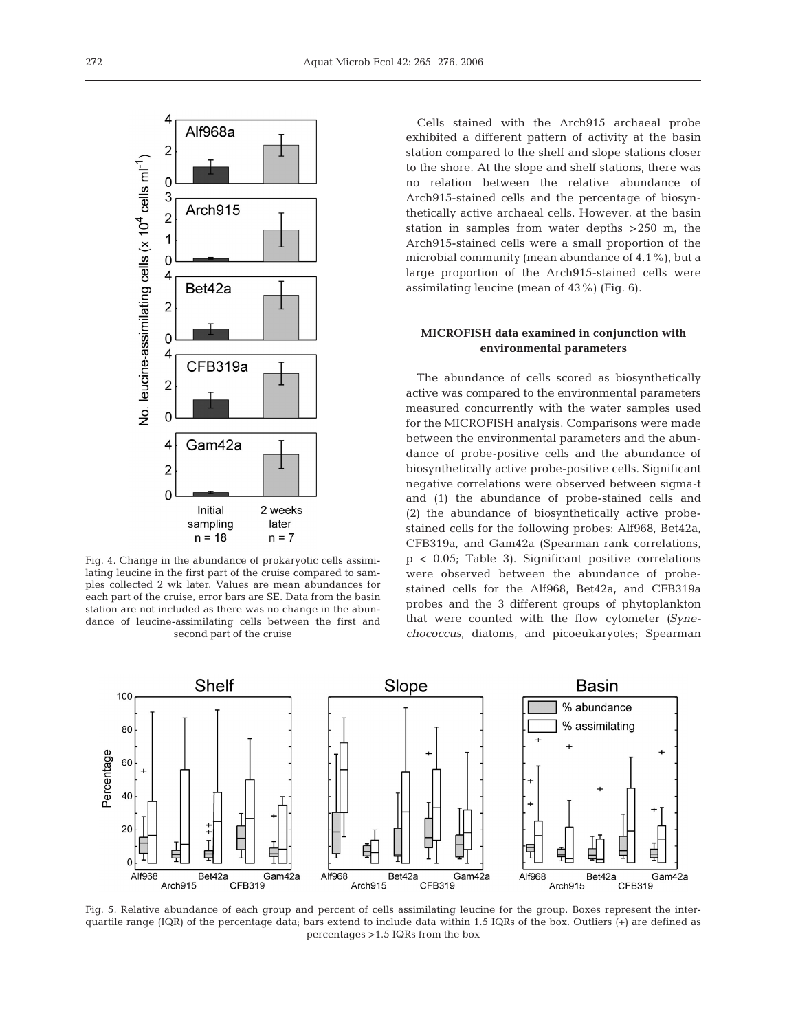

Fig. 4. Change in the abundance of prokaryotic cells assimilating leucine in the first part of the cruise compared to samples collected 2 wk later. Values are mean abundances for each part of the cruise, error bars are SE. Data from the basin station are not included as there was no change in the abundance of leucine-assimilating cells between the first and second part of the cruise

Cells stained with the Arch915 archaeal probe exhibited a different pattern of activity at the basin station compared to the shelf and slope stations closer to the shore. At the slope and shelf stations, there was no relation between the relative abundance of Arch915-stained cells and the percentage of biosynthetically active archaeal cells. However, at the basin station in samples from water depths >250 m, the Arch915-stained cells were a small proportion of the microbial community (mean abundance of 4.1%), but a large proportion of the Arch915-stained cells were assimilating leucine (mean of 43%) (Fig. 6).

## **MICROFISH data examined in conjunction with environmental parameters**

The abundance of cells scored as biosynthetically active was compared to the environmental parameters measured concurrently with the water samples used for the MICROFISH analysis. Comparisons were made between the environmental parameters and the abundance of probe-positive cells and the abundance of biosynthetically active probe-positive cells. Significant negative correlations were observed between sigma-t and (1) the abundance of probe-stained cells and (2) the abundance of biosynthetically active probestained cells for the following probes: Alf968, Bet42a, CFB319a, and Gam42a (Spearman rank correlations, p < 0.05; Table 3). Significant positive correlations were observed between the abundance of probestained cells for the Alf968, Bet42a, and CFB319a probes and the 3 different groups of phytoplankton that were counted with the flow cytometer *(Synechococcus*, diatoms, and picoeukaryotes; Spearman



Fig. 5. Relative abundance of each group and percent of cells assimilating leucine for the group. Boxes represent the interquartile range (IQR) of the percentage data; bars extend to include data within 1.5 IQRs of the box. Outliers (+) are defined as percentages >1.5 IQRs from the box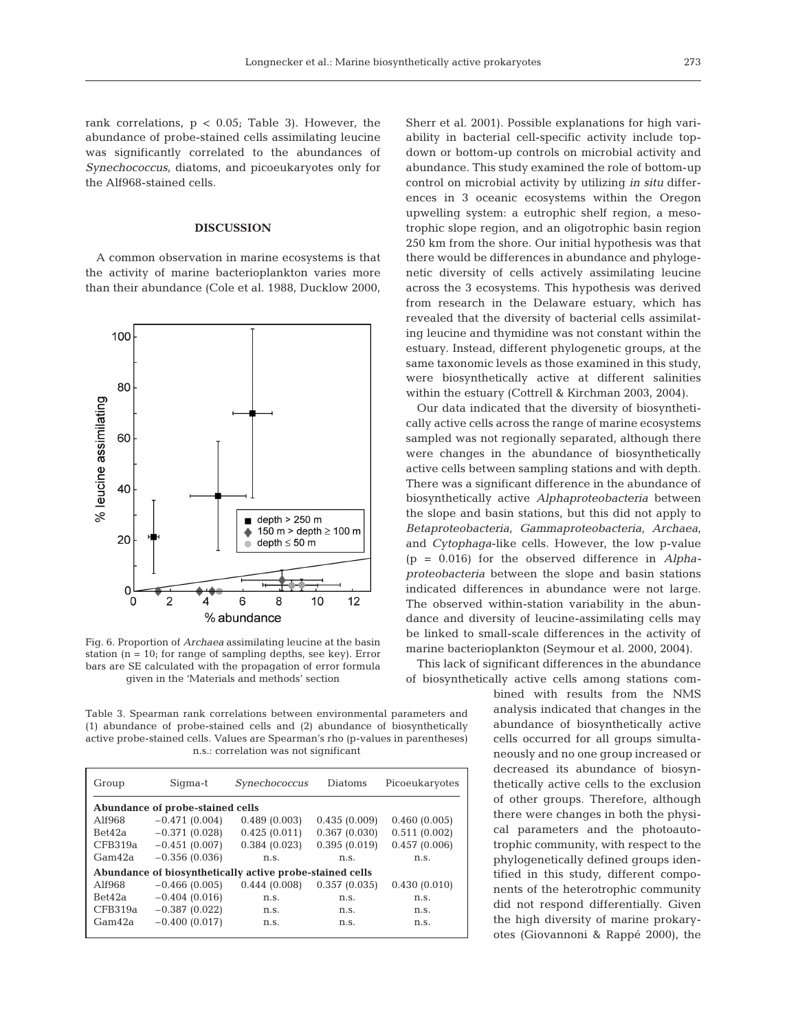rank correlations,  $p < 0.05$ ; Table 3). However, the abundance of probe-stained cells assimilating leucine was significantly correlated to the abundances of *Synechococcus*, diatoms, and picoeukaryotes only for the Alf968-stained cells.

## **DISCUSSION**

A common observation in marine ecosystems is that the activity of marine bacterioplankton varies more than their abundance (Cole et al. 1988, Ducklow 2000,



Fig. 6. Proportion of *Archaea* assimilating leucine at the basin station ( $n = 10$ ; for range of sampling depths, see key). Error bars are SE calculated with the propagation of error formula given in the 'Materials and methods' section

Table 3. Spearman rank correlations between environmental parameters and (1) abundance of probe-stained cells and (2) abundance of biosynthetically active probe-stained cells. Values are Spearman's rho (p-values in parentheses) n.s.: correlation was not significant

| Group                                                    | Sigma-t         | Synechococcus | Diatoms      | Picoeukaryotes |  |  |  |
|----------------------------------------------------------|-----------------|---------------|--------------|----------------|--|--|--|
| Abundance of probe-stained cells                         |                 |               |              |                |  |  |  |
| A1f968                                                   | $-0.471(0.004)$ | 0.489(0.003)  | 0.435(0.009) | 0.460(0.005)   |  |  |  |
| Bet42a                                                   | $-0.371(0.028)$ | 0.425(0.011)  | 0.367(0.030) | 0.511(0.002)   |  |  |  |
| CFB319a                                                  | $-0.451(0.007)$ | 0.384(0.023)  | 0.395(0.019) | 0.457(0.006)   |  |  |  |
| Gam <sub>42a</sub>                                       | $-0.356(0.036)$ | n.s.          | n.s.         | n.s.           |  |  |  |
| Abundance of biosynthetically active probe-stained cells |                 |               |              |                |  |  |  |
| A1f968                                                   | $-0.466(0.005)$ | 0.444(0.008)  | 0.357(0.035) | 0.430(0.010)   |  |  |  |
| Bet42a                                                   | $-0.404(0.016)$ | n.s.          | n.s.         | n.s.           |  |  |  |
| CFB319a                                                  | $-0.387(0.022)$ | n.s.          | n.S.         | n.s.           |  |  |  |
| Gam42a                                                   | $-0.400(0.017)$ | n.s.          | n.s.         | n.s.           |  |  |  |
|                                                          |                 |               |              |                |  |  |  |

Sherr et al. 2001). Possible explanations for high variability in bacterial cell-specific activity include topdown or bottom-up controls on microbial activity and abundance. This study examined the role of bottom-up control on microbial activity by utilizing *in situ* differences in 3 oceanic ecosystems within the Oregon upwelling system: a eutrophic shelf region, a mesotrophic slope region, and an oligotrophic basin region 250 km from the shore. Our initial hypothesis was that there would be differences in abundance and phylogenetic diversity of cells actively assimilating leucine across the 3 ecosystems. This hypothesis was derived from research in the Delaware estuary, which has revealed that the diversity of bacterial cells assimilating leucine and thymidine was not constant within the estuary. Instead, different phylogenetic groups, at the same taxonomic levels as those examined in this study, were biosynthetically active at different salinities within the estuary (Cottrell & Kirchman 2003, 2004).

Our data indicated that the diversity of biosynthetically active cells across the range of marine ecosystems sampled was not regionally separated, although there were changes in the abundance of biosynthetically active cells between sampling stations and with depth. There was a significant difference in the abundance of biosynthetically active *Alphaproteobacteria* between the slope and basin stations, but this did not apply to *Betaproteobacteria*, *Gammaproteobacteria*, *Archaea*, and *Cytophaga*-like cells. However, the low p-value (p = 0.016) for the observed difference in *Alphaproteobacteria* between the slope and basin stations indicated differences in abundance were not large. The observed within-station variability in the abundance and diversity of leucine-assimilating cells may be linked to small-scale differences in the activity of marine bacterioplankton (Seymour et al. 2000, 2004).

This lack of significant differences in the abundance of biosynthetically active cells among stations com-

> bined with results from the NMS analysis indicated that changes in the abundance of biosynthetically active cells occurred for all groups simultaneously and no one group increased or decreased its abundance of biosynthetically active cells to the exclusion of other groups. Therefore, although there were changes in both the physical parameters and the photoautotrophic community, with respect to the phylogenetically defined groups identified in this study, different components of the heterotrophic community did not respond differentially. Given the high diversity of marine prokaryotes (Giovannoni & Rappé 2000), the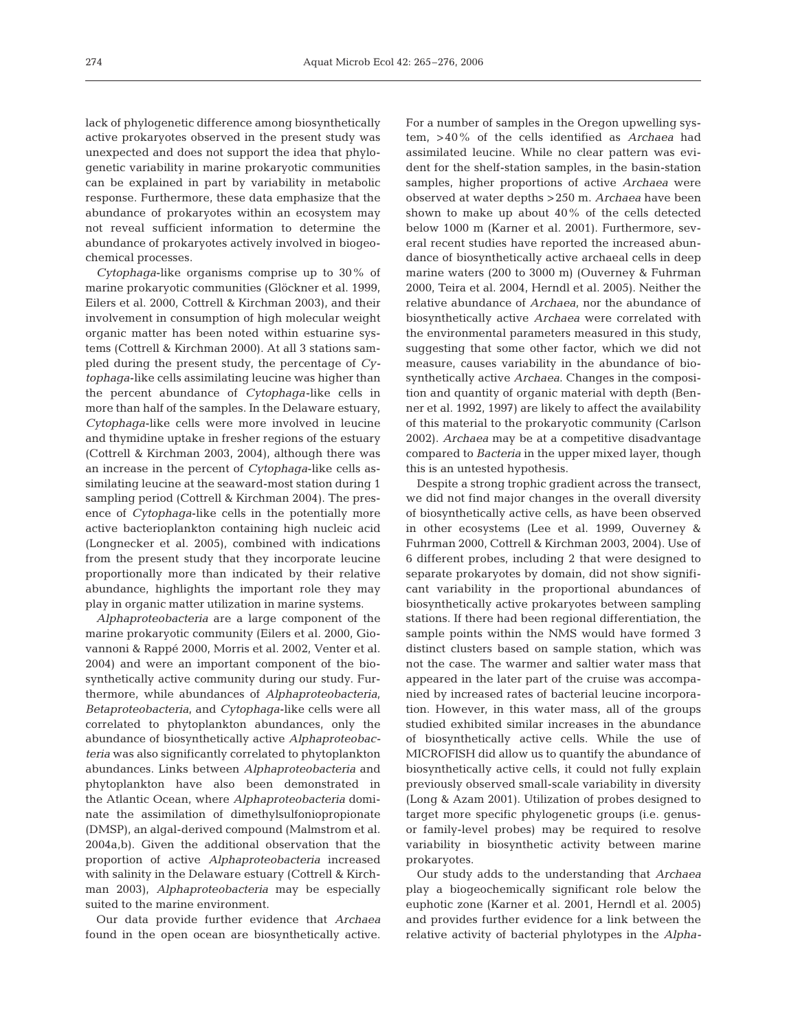lack of phylogenetic difference among biosynthetically active prokaryotes observed in the present study was unexpected and does not support the idea that phylogenetic variability in marine prokaryotic communities can be explained in part by variability in metabolic response. Furthermore, these data emphasize that the abundance of prokaryotes within an ecosystem may not reveal sufficient information to determine the abundance of prokaryotes actively involved in biogeochemical processes.

*Cytophaga*-like organisms comprise up to 30% of marine prokaryotic communities (Glöckner et al. 1999, Eilers et al. 2000, Cottrell & Kirchman 2003), and their involvement in consumption of high molecular weight organic matter has been noted within estuarine systems (Cottrell & Kirchman 2000). At all 3 stations sampled during the present study, the percentage of *Cytophaga*-like cells assimilating leucine was higher than the percent abundance of *Cytophaga*-like cells in more than half of the samples. In the Delaware estuary, *Cytophaga*-like cells were more involved in leucine and thymidine uptake in fresher regions of the estuary (Cottrell & Kirchman 2003, 2004), although there was an increase in the percent of *Cytophaga*-like cells assimilating leucine at the seaward-most station during 1 sampling period (Cottrell & Kirchman 2004). The presence of *Cytophaga*-like cells in the potentially more active bacterioplankton containing high nucleic acid (Longnecker et al. 2005), combined with indications from the present study that they incorporate leucine proportionally more than indicated by their relative abundance, highlights the important role they may play in organic matter utilization in marine systems.

*Alphaproteobacteria* are a large component of the marine prokaryotic community (Eilers et al. 2000, Giovannoni & Rappé 2000, Morris et al. 2002, Venter et al. 2004) and were an important component of the biosynthetically active community during our study. Furthermore, while abundances of *Alphaproteobacteria*, *Betaproteobacteria*, and *Cytophaga*-like cells were all correlated to phytoplankton abundances, only the abundance of biosynthetically active *Alphaproteobacteria* was also significantly correlated to phytoplankton abundances. Links between *Alphaproteobacteria* and phytoplankton have also been demonstrated in the Atlantic Ocean, where *Alphaproteobacteria* dominate the assimilation of dimethylsulfoniopropionate (DMSP), an algal-derived compound (Malmstrom et al. 2004a,b). Given the additional observation that the proportion of active *Alphaproteobacteria* increased with salinity in the Delaware estuary (Cottrell & Kirchman 2003), *Alphaproteobacteria* may be especially suited to the marine environment.

Our data provide further evidence that *Archaea* found in the open ocean are biosynthetically active.

For a number of samples in the Oregon upwelling system, >40% of the cells identified as *Archaea* had assimilated leucine. While no clear pattern was evident for the shelf-station samples, in the basin-station samples, higher proportions of active *Archaea* were observed at water depths >250 m. *Archaea* have been shown to make up about 40% of the cells detected below 1000 m (Karner et al. 2001). Furthermore, several recent studies have reported the increased abundance of biosynthetically active archaeal cells in deep marine waters (200 to 3000 m) (Ouverney & Fuhrman 2000, Teira et al. 2004, Herndl et al. 2005). Neither the relative abundance of *Archaea*, nor the abundance of biosynthetically active *Archaea* were correlated with the environmental parameters measured in this study, suggesting that some other factor, which we did not measure, causes variability in the abundance of biosynthetically active *Archaea*. Changes in the composition and quantity of organic material with depth (Benner et al. 1992, 1997) are likely to affect the availability of this material to the prokaryotic community (Carlson 2002). *Archaea* may be at a competitive disadvantage compared to *Bacteria* in the upper mixed layer, though this is an untested hypothesis.

Despite a strong trophic gradient across the transect, we did not find major changes in the overall diversity of biosynthetically active cells, as have been observed in other ecosystems (Lee et al. 1999, Ouverney & Fuhrman 2000, Cottrell & Kirchman 2003, 2004). Use of 6 different probes, including 2 that were designed to separate prokaryotes by domain, did not show significant variability in the proportional abundances of biosynthetically active prokaryotes between sampling stations. If there had been regional differentiation, the sample points within the NMS would have formed 3 distinct clusters based on sample station, which was not the case. The warmer and saltier water mass that appeared in the later part of the cruise was accompanied by increased rates of bacterial leucine incorporation. However, in this water mass, all of the groups studied exhibited similar increases in the abundance of biosynthetically active cells. While the use of MICROFISH did allow us to quantify the abundance of biosynthetically active cells, it could not fully explain previously observed small-scale variability in diversity (Long & Azam 2001). Utilization of probes designed to target more specific phylogenetic groups (i.e. genusor family-level probes) may be required to resolve variability in biosynthetic activity between marine prokaryotes.

Our study adds to the understanding that *Archaea* play a biogeochemically significant role below the euphotic zone (Karner et al. 2001, Herndl et al. 2005) and provides further evidence for a link between the relative activity of bacterial phylotypes in the *Alpha-*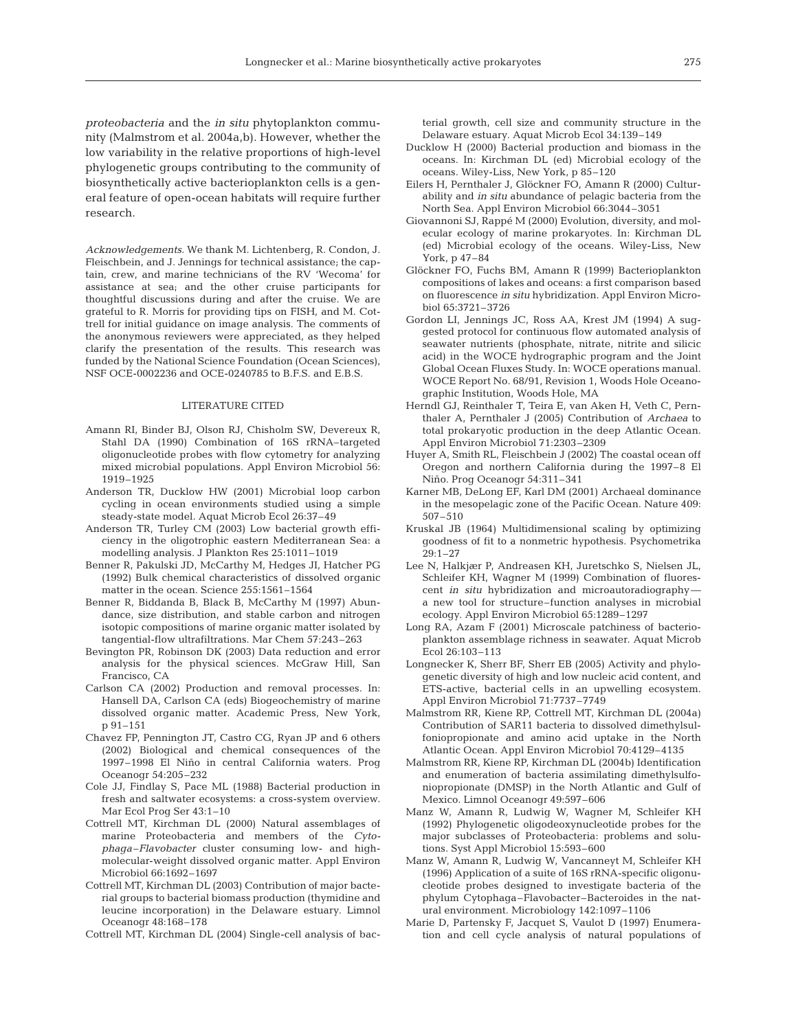*proteobacteria* and the *in situ* phytoplankton community (Malmstrom et al. 2004a,b). However, whether the low variability in the relative proportions of high-level phylogenetic groups contributing to the community of biosynthetically active bacterioplankton cells is a general feature of open-ocean habitats will require further research.

*Acknowledgements.* We thank M. Lichtenberg, R. Condon, J. Fleischbein, and J. Jennings for technical assistance; the captain, crew, and marine technicians of the RV 'Wecoma' for assistance at sea; and the other cruise participants for thoughtful discussions during and after the cruise. We are grateful to R. Morris for providing tips on FISH, and M. Cottrell for initial guidance on image analysis. The comments of the anonymous reviewers were appreciated, as they helped clarify the presentation of the results. This research was funded by the National Science Foundation (Ocean Sciences), NSF OCE-0002236 and OCE-0240785 to B.F.S. and E.B.S.

#### LITERATURE CITED

- Amann RI, Binder BJ, Olson RJ, Chisholm SW, Devereux R, Stahl DA (1990) Combination of 16S rRNA–targeted oligonucleotide probes with flow cytometry for analyzing mixed microbial populations. Appl Environ Microbiol 56: 1919–1925
- Anderson TR, Ducklow HW (2001) Microbial loop carbon cycling in ocean environments studied using a simple steady-state model. Aquat Microb Ecol 26:37–49
- Anderson TR, Turley CM (2003) Low bacterial growth efficiency in the oligotrophic eastern Mediterranean Sea: a modelling analysis. J Plankton Res 25:1011–1019
- Benner R, Pakulski JD, McCarthy M, Hedges JI, Hatcher PG (1992) Bulk chemical characteristics of dissolved organic matter in the ocean. Science 255:1561–1564
- Benner R, Biddanda B, Black B, McCarthy M (1997) Abundance, size distribution, and stable carbon and nitrogen isotopic compositions of marine organic matter isolated by tangential-flow ultrafiltrations. Mar Chem 57:243–263
- Bevington PR, Robinson DK (2003) Data reduction and error analysis for the physical sciences. McGraw Hill, San Francisco, CA
- Carlson CA (2002) Production and removal processes. In: Hansell DA, Carlson CA (eds) Biogeochemistry of marine dissolved organic matter. Academic Press, New York, p 91–151
- Chavez FP, Pennington JT, Castro CG, Ryan JP and 6 others (2002) Biological and chemical consequences of the 1997–1998 El Niño in central California waters. Prog Oceanogr 54:205–232
- Cole JJ, Findlay S, Pace ML (1988) Bacterial production in fresh and saltwater ecosystems: a cross-system overview. Mar Ecol Prog Ser 43:1–10
- Cottrell MT, Kirchman DL (2000) Natural assemblages of marine Proteobacteria and members of the *Cytophaga–Flavobacter* cluster consuming low- and highmolecular-weight dissolved organic matter. Appl Environ Microbiol 66:1692–1697
- Cottrell MT, Kirchman DL (2003) Contribution of major bacterial groups to bacterial biomass production (thymidine and leucine incorporation) in the Delaware estuary. Limnol Oceanogr 48:168–178
- Cottrell MT, Kirchman DL (2004) Single-cell analysis of bac-

terial growth, cell size and community structure in the Delaware estuary. Aquat Microb Ecol 34:139–149

- Ducklow H (2000) Bacterial production and biomass in the oceans. In: Kirchman DL (ed) Microbial ecology of the oceans. Wiley-Liss, New York, p 85–120
- Eilers H, Pernthaler J, Glöckner FO, Amann R (2000) Culturability and *in situ* abundance of pelagic bacteria from the North Sea. Appl Environ Microbiol 66:3044–3051
- Giovannoni SJ, Rappé M (2000) Evolution, diversity, and molecular ecology of marine prokaryotes. In: Kirchman DL (ed) Microbial ecology of the oceans. Wiley-Liss, New York, p 47–84
- Glöckner FO, Fuchs BM, Amann R (1999) Bacterioplankton compositions of lakes and oceans: a first comparison based on fluorescence *in situ* hybridization. Appl Environ Microbiol 65:3721–3726
- Gordon LI, Jennings JC, Ross AA, Krest JM (1994) A suggested protocol for continuous flow automated analysis of seawater nutrients (phosphate, nitrate, nitrite and silicic acid) in the WOCE hydrographic program and the Joint Global Ocean Fluxes Study. In: WOCE operations manual. WOCE Report No. 68/91, Revision 1, Woods Hole Oceanographic Institution, Woods Hole, MA
- Herndl GJ, Reinthaler T, Teira E, van Aken H, Veth C, Pernthaler A, Pernthaler J (2005) Contribution of *Archaea* to total prokaryotic production in the deep Atlantic Ocean. Appl Environ Microbiol 71:2303–2309
- Huyer A, Smith RL, Fleischbein J (2002) The coastal ocean off Oregon and northern California during the 1997–8 El Niño. Prog Oceanogr 54:311–341
- Karner MB, DeLong EF, Karl DM (2001) Archaeal dominance in the mesopelagic zone of the Pacific Ocean. Nature 409: 507–510
- Kruskal JB (1964) Multidimensional scaling by optimizing goodness of fit to a nonmetric hypothesis. Psychometrika  $29:1 - 27$
- Lee N, Halkjær P, Andreasen KH, Juretschko S, Nielsen JL, Schleifer KH, Wagner M (1999) Combination of fluorescent *in situ* hybridization and microautoradiography a new tool for structure–function analyses in microbial ecology. Appl Environ Microbiol 65:1289–1297
- Long RA, Azam F (2001) Microscale patchiness of bacterioplankton assemblage richness in seawater. Aquat Microb Ecol 26:103–113
- Longnecker K, Sherr BF, Sherr EB (2005) Activity and phylogenetic diversity of high and low nucleic acid content, and ETS-active, bacterial cells in an upwelling ecosystem. Appl Environ Microbiol 71:7737–7749
- Malmstrom RR, Kiene RP, Cottrell MT, Kirchman DL (2004a) Contribution of SAR11 bacteria to dissolved dimethylsulfoniopropionate and amino acid uptake in the North Atlantic Ocean. Appl Environ Microbiol 70:4129–4135
- Malmstrom RR, Kiene RP, Kirchman DL (2004b) Identification and enumeration of bacteria assimilating dimethylsulfoniopropionate (DMSP) in the North Atlantic and Gulf of Mexico. Limnol Oceanogr 49:597–606
- Manz W, Amann R, Ludwig W, Wagner M, Schleifer KH (1992) Phylogenetic oligodeoxynucleotide probes for the major subclasses of Proteobacteria: problems and solutions. Syst Appl Microbiol 15:593–600
- Manz W, Amann R, Ludwig W, Vancanneyt M, Schleifer KH (1996) Application of a suite of 16S rRNA-specific oligonucleotide probes designed to investigate bacteria of the phylum Cytophaga–Flavobacter–Bacteroides in the natural environment. Microbiology 142:1097–1106
- Marie D, Partensky F, Jacquet S, Vaulot D (1997) Enumeration and cell cycle analysis of natural populations of